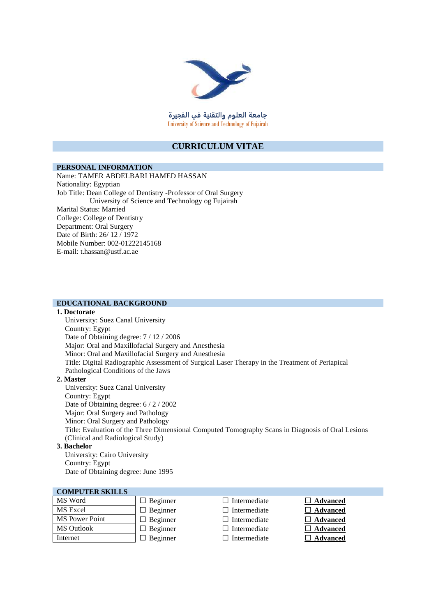

**جامعة العلوم والتقنية في الفجيرة** University of Science and Technology of Fujairah

### **CURRICULUM VITAE**

#### **PERSONAL INFORMATION**

Name: TAMER ABDELBARI HAMED HASSAN Nationality: Egyptian Job Title: Dean College of Dentistry -Professor of Oral Surgery University of Science and Technology og Fujairah Marital Status: Married College: College of Dentistry Department: Oral Surgery Date of Birth: 26/ 12 / 1972 Mobile Number: 002-01222145168 E-mail: t.hassan@ustf.ac.ae

#### **EDUCATIONAL BACKGROUND**

#### **1. Doctorate**

University: Suez Canal University Country: Egypt Date of Obtaining degree: 7 / 12 / 2006 Major: Oral and Maxillofacial Surgery and Anesthesia Minor: Oral and Maxillofacial Surgery and Anesthesia Title: Digital Radiographic Assessment of Surgical Laser Therapy in the Treatment of Periapical Pathological Conditions of the Jaws

#### **2. Master**

University: Suez Canal University Country: Egypt Date of Obtaining degree: 6 / 2 / 2002 Major: Oral Surgery and Pathology Minor: Oral Surgery and Pathology Title: Evaluation of the Three Dimensional Computed Tomography Scans in Diagnosis of Oral Lesions (Clinical and Radiological Study) **3. Bachelor**

University: Cairo University Country: Egypt Date of Obtaining degree: June 1995

#### **COMPUTER SKILLS**

| MS Word               | $\Box$ Beginner |
|-----------------------|-----------------|
| MS Excel              | $\Box$ Beginner |
| <b>MS</b> Power Point | $\Box$ Beginner |
| <b>MS</b> Outlook     | $\Box$ Beginner |
| Internet              | $\Box$ Beginner |

- $\Box$  Intermediate  $\Box$  **Advanced**
- 
- □ Intermediate **□ Advanced** 
	-
- $\Box$  Intermediate  $\Box$  **Advanced**  $\Box$  Intermediate  $\Box$  **Advanced**
- $\Box$  Intermediate  $\Box$  **Advanced**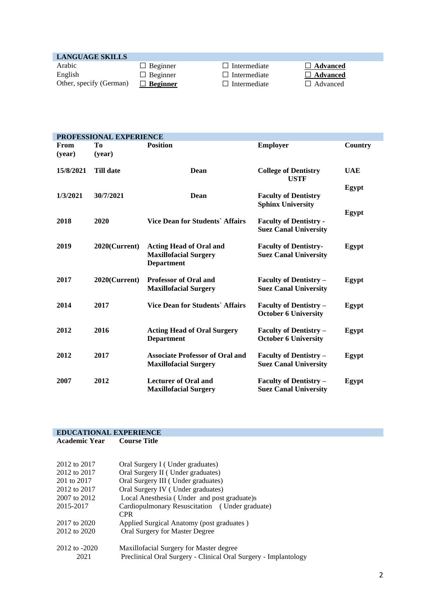# **LANGUAGE SKILLS**

| Arabic                |
|-----------------------|
| English               |
| Other, specify (Germa |

<table>\n<tbody>\n<tr>\n<td>□</td>\n<td>Beginner</td>\n<td>□</td>\n<td>Intermediate</td>\n<td>□</td>\n<td>Advanced</td>\n</tr>\n<tr>\n<td>□</td>\n<td>Beginner</td>\n<td>□</td>\n<td>Intermediate</td>\n<td>□</td>\n<td>Advanced</td>\n</tr>\n</tbody>\n</table>  $\Box$  **Beginner**  $\Box$  Intermediate

Arabic Beginner Intermediate **Advanced**

| PROFESSIONAL EXPERIENCE |                  |                                                                                     |                                                               |            |
|-------------------------|------------------|-------------------------------------------------------------------------------------|---------------------------------------------------------------|------------|
| From<br>(year)          | Tо<br>(year)     | <b>Position</b>                                                                     | <b>Employer</b>                                               | Country    |
| 15/8/2021               | <b>Till date</b> | Dean                                                                                | <b>College of Dentistry</b><br><b>USTF</b>                    | <b>UAE</b> |
| 1/3/2021                | 30/7/2021        | Dean                                                                                | <b>Faculty of Dentistry</b><br><b>Sphinx University</b>       | Egypt      |
| 2018                    | 2020             | <b>Vice Dean for Students' Affairs</b>                                              | <b>Faculty of Dentistry -</b><br><b>Suez Canal University</b> | Egypt      |
| 2019                    | 2020(Current)    | <b>Acting Head of Oral and</b><br><b>Maxillofacial Surgery</b><br><b>Department</b> | <b>Faculty of Dentistry-</b><br><b>Suez Canal University</b>  | Egypt      |
| 2017                    | $2020$ (Current) | <b>Professor of Oral and</b><br><b>Maxillofacial Surgery</b>                        | <b>Faculty of Dentistry -</b><br><b>Suez Canal University</b> | Egypt      |
| 2014                    | 2017             | <b>Vice Dean for Students' Affairs</b>                                              | <b>Faculty of Dentistry –</b><br><b>October 6 University</b>  | Egypt      |
| 2012                    | 2016             | <b>Acting Head of Oral Surgery</b><br><b>Department</b>                             | <b>Faculty of Dentistry -</b><br><b>October 6 University</b>  | Egypt      |
| 2012                    | 2017             | <b>Associate Professor of Oral and</b><br><b>Maxillofacial Surgery</b>              | <b>Faculty of Dentistry -</b><br><b>Suez Canal University</b> | Egypt      |
| 2007                    | 2012             | <b>Lecturer of Oral and</b><br><b>Maxillofacial Surgery</b>                         | <b>Faculty of Dentistry -</b><br><b>Suez Canal University</b> | Egypt      |

#### **EDUCATIONAL EXPERIENCE**<br>Academic Year Course Title **Academic Year**

| 2012 to 2017      | Oral Surgery I (Under graduates)                                |
|-------------------|-----------------------------------------------------------------|
| 2012 to 2017      | Oral Surgery II (Under graduates)                               |
| 201 to 2017       | Oral Surgery III (Under graduates)                              |
| 2012 to 2017      | Oral Surgery IV (Under graduates)                               |
| 2007 to 2012      | Local Anesthesia (Under and post graduate)s                     |
| 2015-2017         | Cardiopulmonary Resuscitation (Under graduate)                  |
|                   | <b>CPR</b>                                                      |
| 2017 to 2020      | Applied Surgical Anatomy (post graduates)                       |
| 2012 to 2020      | Oral Surgery for Master Degree                                  |
| $2012$ to $-2020$ | Maxillofacial Surgery for Master degree                         |
| 2021              | Preclinical Oral Surgery - Clinical Oral Surgery - Implantology |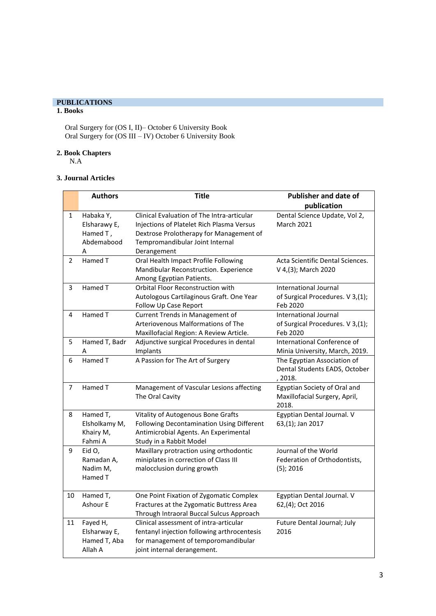## **PUBLICATIONS**

# **1. Books**

Oral Surgery for (OS I, II)– October 6 University Book Oral Surgery for (OS III – IV) October 6 University Book

#### **2. Book Chapters**

N.A

### **3. Journal Articles**

|                | <b>Authors</b>                                           | <b>Title</b>                                                                                                                                                                         | <b>Publisher and date of</b>                                                 |
|----------------|----------------------------------------------------------|--------------------------------------------------------------------------------------------------------------------------------------------------------------------------------------|------------------------------------------------------------------------------|
|                |                                                          |                                                                                                                                                                                      | publication                                                                  |
| 1              | Habaka Y,<br>Elsharawy E,<br>Hamed T,<br>Abdemabood<br>А | Clinical Evaluation of The Intra-articular<br>Injections of Platelet Rich Plasma Versus<br>Dextrose Prolotherapy for Management of<br>Tempromandibular Joint Internal<br>Derangement | Dental Science Update, Vol 2,<br><b>March 2021</b>                           |
| $\overline{2}$ | Hamed T                                                  | Oral Health Impact Profile Following<br>Mandibular Reconstruction. Experience<br>Among Egyptian Patients.                                                                            | Acta Scientific Dental Sciences.<br>V 4, (3); March 2020                     |
| 3              | Hamed T                                                  | <b>Orbital Floor Reconstruction with</b><br>Autologous Cartilaginous Graft. One Year<br>Follow Up Case Report                                                                        | International Journal<br>of Surgical Procedures. V 3,(1);<br>Feb 2020        |
| 4              | Hamed T                                                  | Current Trends in Management of<br>Arteriovenous Malformations of The<br>Maxillofacial Region: A Review Article.                                                                     | <b>International Journal</b><br>of Surgical Procedures. V 3,(1);<br>Feb 2020 |
| 5              | Hamed T, Badr<br>A                                       | Adjunctive surgical Procedures in dental<br>Implants                                                                                                                                 | International Conference of<br>Minia University, March, 2019.                |
| 6              | Hamed T                                                  | A Passion for The Art of Surgery                                                                                                                                                     | The Egyptian Association of<br>Dental Students EADS, October<br>, 2018.      |
| 7              | Hamed T                                                  | Management of Vascular Lesions affecting<br>The Oral Cavity                                                                                                                          | Egyptian Society of Oral and<br>Maxillofacial Surgery, April,<br>2018.       |
| 8              | Hamed T,<br>Elsholkamy M,<br>Khairy M,<br>Fahmi A        | Vitality of Autogenous Bone Grafts<br>Following Decontamination Using Different<br>Antimicrobial Agents. An Experimental<br>Study in a Rabbit Model                                  | Egyptian Dental Journal. V<br>63,(1); Jan 2017                               |
| 9              | Eid O,<br>Ramadan A,<br>Nadim M,<br>Hamed T              | Maxillary protraction using orthodontic<br>miniplates in correction of Class III<br>malocclusion during growth                                                                       | Journal of the World<br>Federation of Orthodontists,<br>$(5)$ ; 2016         |
| 10             | Hamed T,<br>Ashour E                                     | One Point Fixation of Zygomatic Complex<br>Fractures at the Zygomatic Buttress Area<br>Through Intraoral Buccal Sulcus Approach                                                      | Egyptian Dental Journal. V<br>62,(4); Oct 2016                               |
| 11             | Fayed H,<br>Elsharway E,<br>Hamed T, Aba<br>Allah A      | Clinical assessment of intra-articular<br>fentanyl injection following arthrocentesis<br>for management of temporomandibular<br>joint internal derangement.                          | Future Dental Journal; July<br>2016                                          |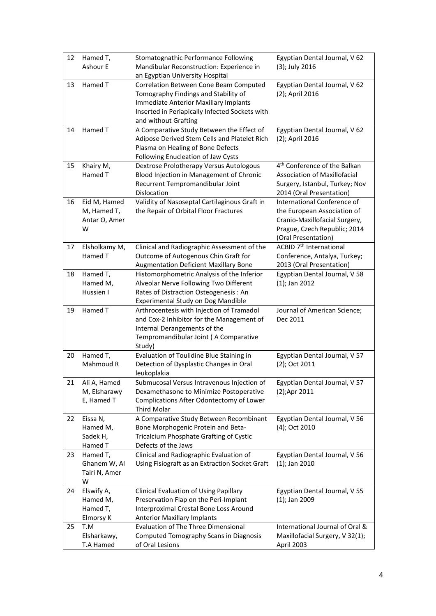| 12 | Hamed T,<br>Ashour E                              | Stomatognathic Performance Following<br>Mandibular Reconstruction: Experience in                                                                                                                         | Egyptian Dental Journal, V 62<br>(3); July 2016                                                                                                    |
|----|---------------------------------------------------|----------------------------------------------------------------------------------------------------------------------------------------------------------------------------------------------------------|----------------------------------------------------------------------------------------------------------------------------------------------------|
|    |                                                   | an Egyptian University Hospital                                                                                                                                                                          |                                                                                                                                                    |
| 13 | Hamed T                                           | Correlation Between Cone Beam Computed<br>Tomography Findings and Stability of<br><b>Immediate Anterior Maxillary Implants</b><br>Inserted in Periapically Infected Sockets with<br>and without Grafting | Egyptian Dental Journal, V 62<br>(2); April 2016                                                                                                   |
| 14 | Hamed T                                           | A Comparative Study Between the Effect of<br>Adipose Derived Stem Cells and Platelet Rich<br>Plasma on Healing of Bone Defects<br>Following Enucleation of Jaw Cysts                                     | Egyptian Dental Journal, V 62<br>(2); April 2016                                                                                                   |
| 15 | Khairy M,<br>Hamed T                              | Dextrose Prolotherapy Versus Autologous<br>Blood Injection in Management of Chronic<br>Recurrent Tempromandibular Joint<br>Dislocation                                                                   | 4 <sup>th</sup> Conference of the Balkan<br><b>Association of Maxillofacial</b><br>Surgery, Istanbul, Turkey; Nov<br>2014 (Oral Presentation)      |
| 16 | Eid M, Hamed<br>M, Hamed T,<br>Antar O, Amer<br>w | Validity of Nasoseptal Cartilaginous Graft in<br>the Repair of Orbital Floor Fractures                                                                                                                   | International Conference of<br>the European Association of<br>Cranio-Maxillofacial Surgery,<br>Prague, Czech Republic; 2014<br>(Oral Presentation) |
| 17 | Elsholkamy M,<br>Hamed T                          | Clinical and Radiographic Assessment of the<br>Outcome of Autogenous Chin Graft for<br><b>Augmentation Deficient Maxillary Bone</b>                                                                      | ACBID 7 <sup>th</sup> International<br>Conference, Antalya, Turkey;<br>2013 (Oral Presentation)                                                    |
| 18 | Hamed T,<br>Hamed M,<br>Hussien I                 | Histomorphometric Analysis of the Inferior<br>Alveolar Nerve Following Two Different<br>Rates of Distraction Osteogenesis: An<br>Experimental Study on Dog Mandible                                      | Egyptian Dental Journal, V 58<br>$(1)$ ; Jan 2012                                                                                                  |
| 19 | Hamed T                                           | Arthrocentesis with Injection of Tramadol<br>and Cox-2 Inhibitor for the Management of<br>Internal Derangements of the<br>Tempromandibular Joint (A Comparative<br>Study)                                | Journal of American Science;<br>Dec 2011                                                                                                           |
| 20 | Hamed T,<br>Mahmoud R                             | Evaluation of Toulidine Blue Staining in<br>Detection of Dysplastic Changes in Oral<br>leukoplakia                                                                                                       | Egyptian Dental Journal, V 57<br>(2); Oct 2011                                                                                                     |
| 21 | Ali A, Hamed<br>M, Elsharawy<br>E, Hamed T        | Submucosal Versus Intravenous Injection of<br>Dexamethasone to Minimize Postoperative<br>Complications After Odontectomy of Lower<br><b>Third Molar</b>                                                  | Egyptian Dental Journal, V 57<br>(2);Apr 2011                                                                                                      |
| 22 | Eissa N,<br>Hamed M,<br>Sadek H,<br>Hamed T       | A Comparative Study Between Recombinant<br>Bone Morphogenic Protein and Beta-<br>Tricalcium Phosphate Grafting of Cystic<br>Defects of the Jaws                                                          | Egyptian Dental Journal, V 56<br>(4); Oct 2010                                                                                                     |
| 23 | Hamed T,<br>Ghanem W, Al<br>Tairi N, Amer<br>W    | Clinical and Radiographic Evaluation of<br>Using Fisiograft as an Extraction Socket Graft                                                                                                                | Egyptian Dental Journal, V 56<br>$(1)$ ; Jan 2010                                                                                                  |
| 24 | Elswify A,<br>Hamed M,<br>Hamed T,<br>Elmorsy K   | Clinical Evaluation of Using Papillary<br>Preservation Flap on the Peri-Implant<br>Interproximal Crestal Bone Loss Around<br><b>Anterior Maxillary Implants</b>                                          | Egyptian Dental Journal, V 55<br>$(1)$ ; Jan 2009                                                                                                  |
| 25 | T.M<br>Elsharkawy,<br>T.A Hamed                   | <b>Evaluation of The Three Dimensional</b><br>Computed Tomography Scans in Diagnosis<br>of Oral Lesions                                                                                                  | International Journal of Oral &<br>Maxillofacial Surgery, V 32(1);<br>April 2003                                                                   |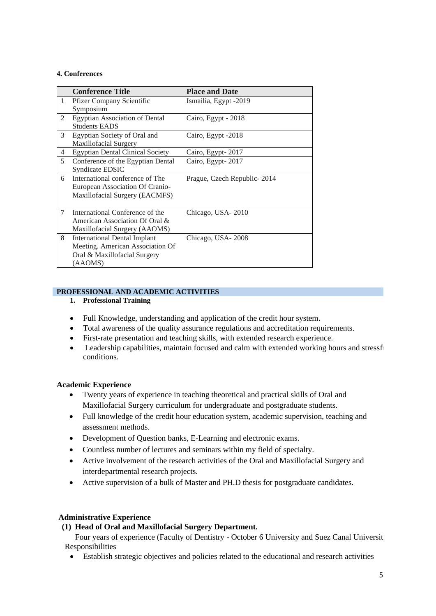#### **4. Conferences**

|   | <b>Conference Title</b>                 | <b>Place and Date</b>         |
|---|-----------------------------------------|-------------------------------|
| 1 | <b>Pfizer Company Scientific</b>        | Ismailia, Egypt -2019         |
|   | Symposium                               |                               |
| 2 | <b>Egyptian Association of Dental</b>   | Cairo, Egypt - 2018           |
|   | <b>Students EADS</b>                    |                               |
| 3 | Egyptian Society of Oral and            | Cairo, Egypt -2018            |
|   | Maxillofacial Surgery                   |                               |
| 4 | <b>Egyptian Dental Clinical Society</b> | Cairo, Egypt-2017             |
| 5 | Conference of the Egyptian Dental       | Cairo, Egypt-2017             |
|   | Syndicate EDSIC                         |                               |
| 6 | International conference of The         | Prague, Czech Republic - 2014 |
|   | European Association Of Cranio-         |                               |
|   | Maxillofacial Surgery (EACMFS)          |                               |
|   |                                         |                               |
| 7 | International Conference of the         | Chicago, USA-2010             |
|   | American Association Of Oral &          |                               |
|   | Maxillofacial Surgery (AAOMS)           |                               |
| 8 | <b>International Dental Implant</b>     | Chicago, USA-2008             |
|   | Meeting. American Association Of        |                               |
|   | Oral & Maxillofacial Surgery            |                               |
|   | (AAOMS)                                 |                               |

## **PROFESSIONAL AND ACADEMIC ACTIVITIES**

- **1. Professional Training**
- Full Knowledge, understanding and application of the credit hour system.
- Total awareness of the quality assurance regulations and accreditation requirements.
- First-rate presentation and teaching skills, with extended research experience.
- Leadership capabilities, maintain focused and calm with extended working hours and stressful conditions.

### **Academic Experience**

- Twenty years of experience in teaching theoretical and practical skills of Oral and Maxillofacial Surgery curriculum for undergraduate and postgraduate students.
- Full knowledge of the credit hour education system, academic supervision, teaching and assessment methods.
- Development of Question banks, E-Learning and electronic exams.
- Countless number of lectures and seminars within my field of specialty.
- Active involvement of the research activities of the Oral and Maxillofacial Surgery and interdepartmental research projects.
- Active supervision of a bulk of Master and PH.D thesis for postgraduate candidates.

### **Administrative Experience**

# **(1) Head of Oral and Maxillofacial Surgery Department.**

Four years of experience (Faculty of Dentistry - October 6 University and Suez Canal Universit Responsibilities

• Establish strategic objectives and policies related to the educational and research activities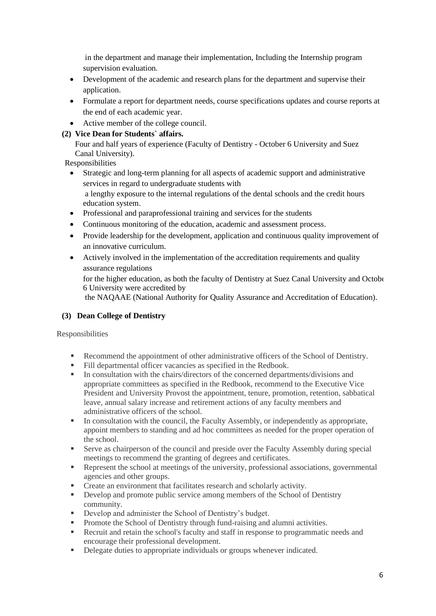in the department and manage their implementation, Including the Internship program supervision evaluation.

- Development of the academic and research plans for the department and supervise their application.
- Formulate a report for department needs, course specifications updates and course reports at the end of each academic year.
- Active member of the college council.

# **(2) Vice Dean for Students` affairs.**

Four and half years of experience (Faculty of Dentistry - October 6 University and Suez Canal University).

Responsibilities

• Strategic and long-term planning for all aspects of academic support and administrative services in regard to undergraduate students with

a lengthy exposure to the internal regulations of the dental schools and the credit hours education system.

- Professional and paraprofessional training and services for the students
- Continuous monitoring of the education, academic and assessment process.
- Provide leadership for the development, application and continuous quality improvement of an innovative curriculum.
- Actively involved in the implementation of the accreditation requirements and quality assurance regulations

for the higher education, as both the faculty of Dentistry at Suez Canal University and October 6 University were accredited by

the NAQAAE (National Authority for Quality Assurance and Accreditation of Education).

# **(3) Dean College of Dentistry**

Responsibilities

- Recommend the appointment of other administrative officers of the School of Dentistry.
- Fill departmental officer vacancies as specified in the Redbook.
- In consultation with the chairs/directors of the concerned departments/divisions and appropriate committees as specified in the Redbook, recommend to the Executive Vice President and University Provost the appointment, tenure, promotion, retention, sabbatical leave, annual salary increase and retirement actions of any faculty members and administrative officers of the school.
- In consultation with the council, the Faculty Assembly, or independently as appropriate, appoint members to standing and ad hoc committees as needed for the proper operation of the school.
- **•** Serve as chairperson of the council and preside over the Faculty Assembly during special meetings to recommend the granting of degrees and certificates.
- Represent the school at meetings of the university, professional associations, governmental agencies and other groups.
- Create an environment that facilitates research and scholarly activity.
- **•** Develop and promote public service among members of the School of Dentistry community.
- Develop and administer the School of Dentistry's budget.
- **•** Promote the School of Dentistry through fund-raising and alumni activities.
- Recruit and retain the school's faculty and staff in response to programmatic needs and encourage their professional development.
- **•** Delegate duties to appropriate individuals or groups whenever indicated.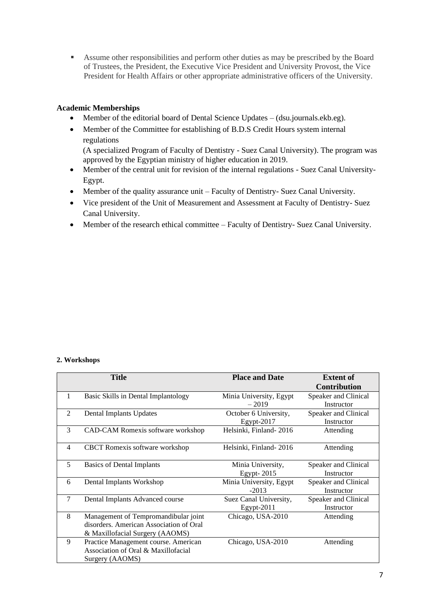▪ Assume other responsibilities and perform other duties as may be prescribed by the Board of Trustees, the President, the Executive Vice President and University Provost, the Vice President for Health Affairs or other appropriate administrative officers of the University.

# **Academic Memberships**

- Member of the editorial board of Dental Science Updates (dsu.journals.ekb.eg).
- Member of the Committee for establishing of B.D.S Credit Hours system internal regulations

(A specialized Program of Faculty of Dentistry - Suez Canal University). The program was approved by the Egyptian ministry of higher education in 2019.

- Member of the central unit for revision of the internal regulations Suez Canal University-Egypt.
- Member of the quality assurance unit Faculty of Dentistry- Suez Canal University.
- Vice president of the Unit of Measurement and Assessment at Faculty of Dentistry- Suez Canal University.
- Member of the research ethical committee Faculty of Dentistry- Suez Canal University.

#### **2. Workshops**

|                | <b>Title</b>                                                                                                       | <b>Place and Date</b>                  | <b>Extent of</b><br><b>Contribution</b> |
|----------------|--------------------------------------------------------------------------------------------------------------------|----------------------------------------|-----------------------------------------|
| 1              | Basic Skills in Dental Implantology                                                                                | Minia University, Egypt<br>$-2019$     | Speaker and Clinical<br>Instructor      |
| $\mathfrak{D}$ | Dental Implants Updates                                                                                            | October 6 University,<br>$E$ gypt-2017 | Speaker and Clinical<br>Instructor      |
| $\mathcal{R}$  | CAD-CAM Romexis software workshop                                                                                  | Helsinki, Finland-2016                 | Attending                               |
| $\overline{4}$ | <b>CBCT</b> Romexis software workshop                                                                              | Helsinki, Finland - 2016               | Attending                               |
| 5              | Basics of Dental Implants                                                                                          | Minia University,<br>Egypt- $2015$     | Speaker and Clinical<br>Instructor      |
| 6              | Dental Implants Workshop                                                                                           | Minia University, Egypt<br>$-2013$     | Speaker and Clinical<br>Instructor      |
| $\tau$         | Dental Implants Advanced course                                                                                    | Suez Canal University,<br>$Egypt-2011$ | Speaker and Clinical<br>Instructor      |
| 8              | Management of Tempromandibular joint<br>disorders. American Association of Oral<br>& Maxillofacial Surgery (AAOMS) | Chicago, USA-2010                      | Attending                               |
| 9              | Practice Management course. American<br>Association of Oral & Maxillofacial<br>Surgery (AAOMS)                     | Chicago, USA-2010                      | Attending                               |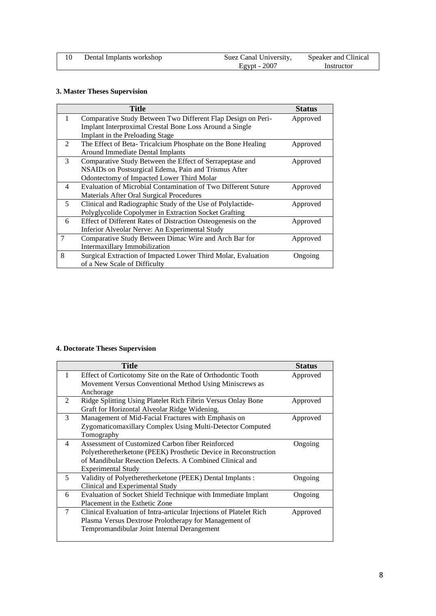| Dental Implants workshop | Suez Canal University, | Speaker and Clinical |
|--------------------------|------------------------|----------------------|
|                          | Egypt - $2007$         | Instructor           |

## **3. Master Theses Supervision**

|               | <b>Title</b>                                                  | <b>Status</b> |
|---------------|---------------------------------------------------------------|---------------|
| 1             | Comparative Study Between Two Different Flap Design on Peri-  | Approved      |
|               | Implant Interproximal Crestal Bone Loss Around a Single       |               |
|               | Implant in the Preloading Stage                               |               |
| 2             | The Effect of Beta-Tricalcium Phosphate on the Bone Healing   | Approved      |
|               | Around Immediate Dental Implants                              |               |
| $\mathcal{R}$ | Comparative Study Between the Effect of Serrapeptase and      | Approved      |
|               | NSAIDs on Postsurgical Edema, Pain and Trismus After          |               |
|               | Odontectomy of Impacted Lower Third Molar                     |               |
| 4             | Evaluation of Microbial Contamination of Two Different Suture | Approved      |
|               | Materials After Oral Surgical Procedures                      |               |
| 5             | Clinical and Radiographic Study of the Use of Polylactide-    | Approved      |
|               | Polyglycolide Copolymer in Extraction Socket Grafting         |               |
| 6             | Effect of Different Rates of Distraction Osteogenesis on the  | Approved      |
|               | Inferior Alveolar Nerve: An Experimental Study                |               |
| 7             | Comparative Study Between Dimac Wire and Arch Bar for         | Approved      |
|               | Intermaxillary Immobilization                                 |               |
| 8             | Surgical Extraction of Impacted Lower Third Molar, Evaluation | Ongoing       |
|               | of a New Scale of Difficulty                                  |               |

# **4. Doctorate Theses Supervision**

|                | <b>Title</b>                                                       | <b>Status</b> |
|----------------|--------------------------------------------------------------------|---------------|
| 1              | Effect of Corticotomy Site on the Rate of Orthodontic Tooth        | Approved      |
|                | Movement Versus Conventional Method Using Miniscrews as            |               |
|                | Anchorage                                                          |               |
| $\mathfrak{D}$ | Ridge Splitting Using Platelet Rich Fibrin Versus Onlay Bone       | Approved      |
|                | Graft for Horizontal Alveolar Ridge Widening.                      |               |
| 3              | Management of Mid-Facial Fractures with Emphasis on                | Approved      |
|                | Zygomaticomaxillary Complex Using Multi-Detector Computed          |               |
|                | Tomography                                                         |               |
| 4              | Assessment of Customized Carbon fiber Reinforced                   | Ongoing       |
|                | Polyetheretherketone (PEEK) Prosthetic Device in Reconstruction    |               |
|                | of Mandibular Resection Defects. A Combined Clinical and           |               |
|                | <b>Experimental Study</b>                                          |               |
| 5              | Validity of Polyetheretherketone (PEEK) Dental Implants :          | Ongoing       |
|                | Clinical and Experimental Study                                    |               |
| 6              | Evaluation of Socket Shield Technique with Immediate Implant       | Ongoing       |
|                | Placement in the Esthetic Zone                                     |               |
| 7              | Clinical Evaluation of Intra-articular Injections of Platelet Rich | Approved      |
|                | Plasma Versus Dextrose Prolotherapy for Management of              |               |
|                | Tempromandibular Joint Internal Derangement                        |               |
|                |                                                                    |               |